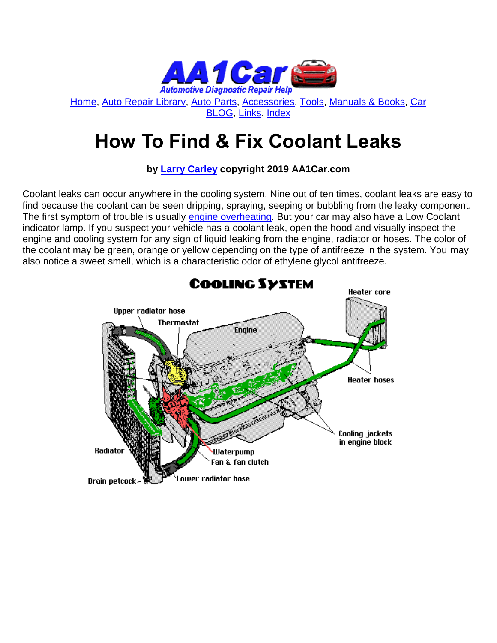

[Home,](http://www.aa1car.com/) [Auto Repair Library,](http://www.aa1car.com/library.htm) [Auto Parts,](http://www.aa1car.com/links_parts.htm) [Accessories,](http://www.aa1car.com/links_accessories.htm) [Tools,](http://www.aa1car.com/links_tools.htm) [Manuals & Books,](http://www.aa1car.com/links_books.htm) [Car](http://www.aa1car.com/blog/blog.htm)  [BLOG,](http://www.aa1car.com/blog/blog.htm) [Links,](http://www.aa1car.com/links.htm) [Index](http://www.aa1car.com/index_alphabetical.htm)

## **How To Find & Fix Coolant Leaks**

**by [Larry Carley](https://www.aa1car.com/larrypage/larrycarley_photos.htm) copyright 2019 AA1Car.com**

Coolant leaks can occur anywhere in the cooling system. Nine out of ten times, coolant leaks are easy to find because the coolant can be seen dripping, spraying, seeping or bubbling from the leaky component. The first symptom of trouble is usually [engine overheating.](http://www.aa1car.com/library/overheat.htm) But your car may also have a Low Coolant indicator lamp. If you suspect your vehicle has a coolant leak, open the hood and visually inspect the engine and cooling system for any sign of liquid leaking from the engine, radiator or hoses. The color of the coolant may be green, orange or yellow depending on the type of antifreeze in the system. You may also notice a sweet smell, which is a characteristic odor of ethylene glycol antifreeze.

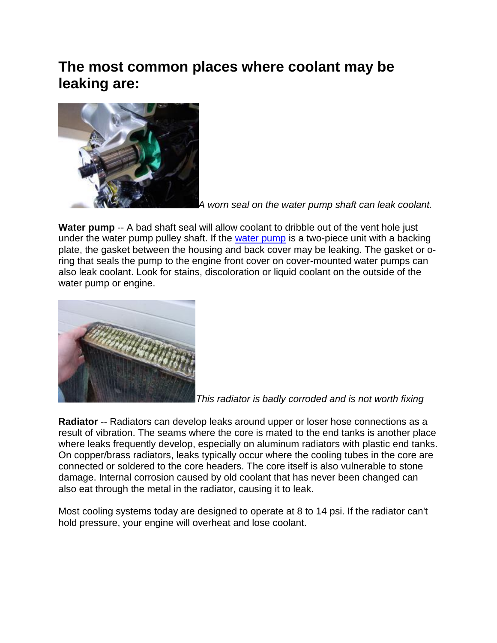### **The most common places where coolant may be leaking are:**



*A worn seal on the water pump shaft can leak coolant.*

Water pump -- A bad shaft seal will allow coolant to dribble out of the vent hole just under the water pump pulley shaft. If the [water pump](http://www.aa1car.com/library/water_pump.htm) is a two-piece unit with a backing plate, the gasket between the housing and back cover may be leaking. The gasket or oring that seals the pump to the engine front cover on cover-mounted water pumps can also leak coolant. Look for stains, discoloration or liquid coolant on the outside of the water pump or engine.



*This radiator is badly corroded and is not worth fixing*

**Radiator** -- Radiators can develop leaks around upper or loser hose connections as a result of vibration. The seams where the core is mated to the end tanks is another place where leaks frequently develop, especially on aluminum radiators with plastic end tanks. On copper/brass radiators, leaks typically occur where the cooling tubes in the core are connected or soldered to the core headers. The core itself is also vulnerable to stone damage. Internal corrosion caused by old coolant that has never been changed can also eat through the metal in the radiator, causing it to leak.

Most cooling systems today are designed to operate at 8 to 14 psi. If the radiator can't hold pressure, your engine will overheat and lose coolant.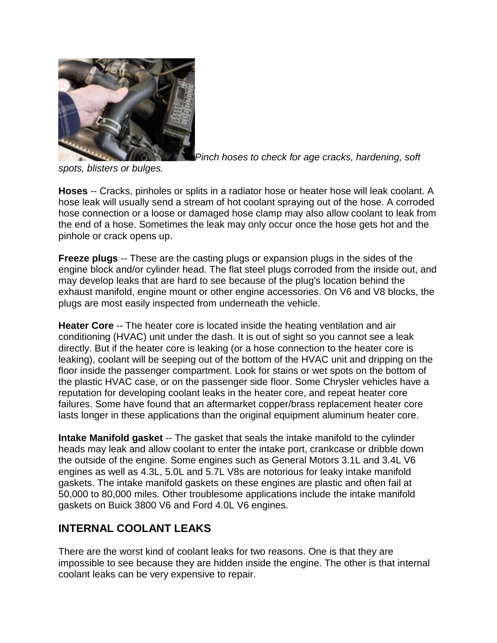

*Pinch hoses to check for age cracks, hardening, soft* 

*spots, blisters or bulges.*

**Hoses** -- Cracks, pinholes or splits in a radiator hose or heater hose will leak coolant. A hose leak will usually send a stream of hot coolant spraying out of the hose. A corroded hose connection or a loose or damaged hose clamp may also allow coolant to leak from the end of a hose. Sometimes the leak may only occur once the hose gets hot and the pinhole or crack opens up.

**Freeze plugs** -- These are the casting plugs or expansion plugs in the sides of the engine block and/or cylinder head. The flat steel plugs corroded from the inside out, and may develop leaks that are hard to see because of the plug's location behind the exhaust manifold, engine mount or other engine accessories. On V6 and V8 blocks, the plugs are most easily inspected from underneath the vehicle.

**Heater Core** -- The heater core is located inside the heating ventilation and air conditioning (HVAC) unit under the dash. It is out of sight so you cannot see a leak directly. But if the heater core is leaking (or a hose connection to the heater core is leaking), coolant will be seeping out of the bottom of the HVAC unit and dripping on the floor inside the passenger compartment. Look for stains or wet spots on the bottom of the plastic HVAC case, or on the passenger side floor. Some Chrysler vehicles have a reputation for developing coolant leaks in the heater core, and repeat heater core failures. Some have found that an aftermarket copper/brass replacement heater core lasts longer in these applications than the original equipment aluminum heater core.

**Intake Manifold gasket** -- The gasket that seals the intake manifold to the cylinder heads may leak and allow coolant to enter the intake port, crankcase or dribble down the outside of the engine. Some engines such as General Motors 3.1L and 3.4L V6 engines as well as 4.3L, 5.0L and 5.7L V8s are notorious for leaky intake manifold gaskets. The intake manifold gaskets on these engines are plastic and often fail at 50,000 to 80,000 miles. Other troublesome applications include the intake manifold gaskets on Buick 3800 V6 and Ford 4.0L V6 engines.

#### **INTERNAL COOLANT LEAKS**

There are the worst kind of coolant leaks for two reasons. One is that they are impossible to see because they are hidden inside the engine. The other is that internal coolant leaks can be very expensive to repair.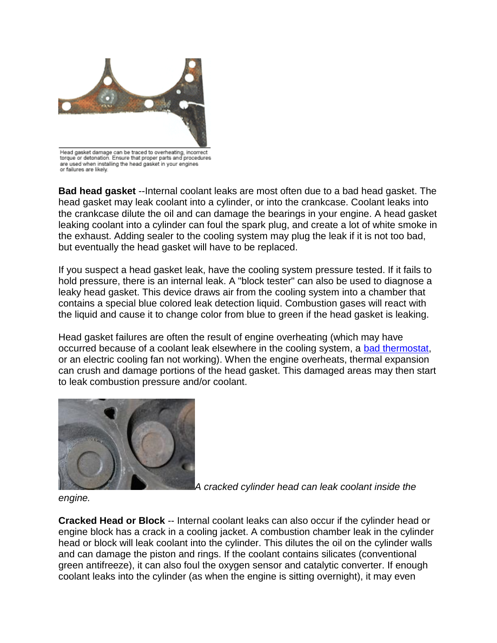

torque or detonation. Ensure that proper parts and procedures are used when installing the head gasket in your engines or failures are likely.

**Bad head gasket** --Internal coolant leaks are most often due to a bad head gasket. The head gasket may leak coolant into a cylinder, or into the crankcase. Coolant leaks into the crankcase dilute the oil and can damage the bearings in your engine. A head gasket leaking coolant into a cylinder can foul the spark plug, and create a lot of white smoke in the exhaust. Adding sealer to the cooling system may plug the leak if it is not too bad, but eventually the head gasket will have to be replaced.

If you suspect a head gasket leak, have the cooling system pressure tested. If it fails to hold pressure, there is an internal leak. A "block tester" can also be used to diagnose a leaky head gasket. This device draws air from the cooling system into a chamber that contains a special blue colored leak detection liquid. Combustion gases will react with the liquid and cause it to change color from blue to green if the head gasket is leaking.

Head gasket failures are often the result of engine overheating (which may have occurred because of a coolant leak elsewhere in the cooling system, a [bad thermostat,](https://www.aa1car.com/library/thermostat_diagnose_replace.htm) or an electric cooling fan not working). When the engine overheats, thermal expansion can crush and damage portions of the head gasket. This damaged areas may then start to leak combustion pressure and/or coolant.



*A cracked cylinder head can leak coolant inside the* 

*engine.*

**Cracked Head or Block** -- Internal coolant leaks can also occur if the cylinder head or engine block has a crack in a cooling jacket. A combustion chamber leak in the cylinder head or block will leak coolant into the cylinder. This dilutes the oil on the cylinder walls and can damage the piston and rings. If the coolant contains silicates (conventional green antifreeze), it can also foul the oxygen sensor and catalytic converter. If enough coolant leaks into the cylinder (as when the engine is sitting overnight), it may even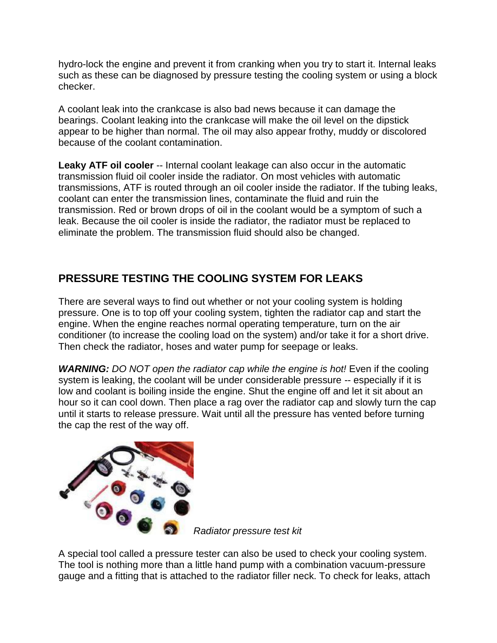hydro-lock the engine and prevent it from cranking when you try to start it. Internal leaks such as these can be diagnosed by pressure testing the cooling system or using a block checker.

A coolant leak into the crankcase is also bad news because it can damage the bearings. Coolant leaking into the crankcase will make the oil level on the dipstick appear to be higher than normal. The oil may also appear frothy, muddy or discolored because of the coolant contamination.

**Leaky ATF oil cooler** -- Internal coolant leakage can also occur in the automatic transmission fluid oil cooler inside the radiator. On most vehicles with automatic transmissions, ATF is routed through an oil cooler inside the radiator. If the tubing leaks, coolant can enter the transmission lines, contaminate the fluid and ruin the transmission. Red or brown drops of oil in the coolant would be a symptom of such a leak. Because the oil cooler is inside the radiator, the radiator must be replaced to eliminate the problem. The transmission fluid should also be changed.

#### **PRESSURE TESTING THE COOLING SYSTEM FOR LEAKS**

There are several ways to find out whether or not your cooling system is holding pressure. One is to top off your cooling system, tighten the radiator cap and start the engine. When the engine reaches normal operating temperature, turn on the air conditioner (to increase the cooling load on the system) and/or take it for a short drive. Then check the radiator, hoses and water pump for seepage or leaks.

*WARNING: DO NOT open the radiator cap while the engine is hot!* Even if the cooling system is leaking, the coolant will be under considerable pressure -- especially if it is low and coolant is boiling inside the engine. Shut the engine off and let it sit about an hour so it can cool down. Then place a rag over the radiator cap and slowly turn the cap until it starts to release pressure. Wait until all the pressure has vented before turning the cap the rest of the way off.



*Radiator pressure test kit*

A special tool called a pressure tester can also be used to check your cooling system. The tool is nothing more than a little hand pump with a combination vacuum-pressure gauge and a fitting that is attached to the radiator filler neck. To check for leaks, attach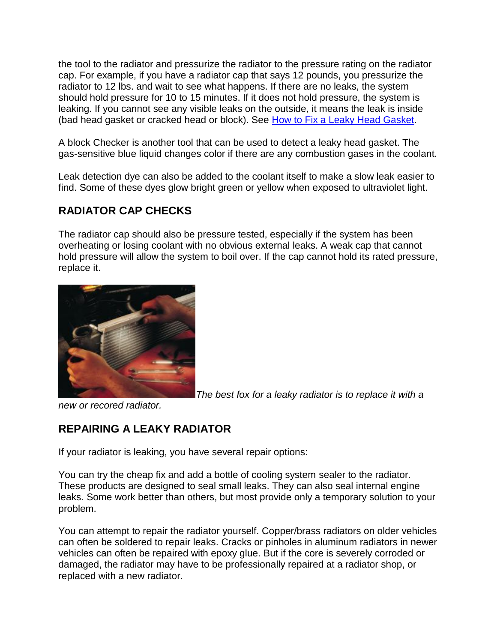the tool to the radiator and pressurize the radiator to the pressure rating on the radiator cap. For example, if you have a radiator cap that says 12 pounds, you pressurize the radiator to 12 lbs. and wait to see what happens. If there are no leaks, the system should hold pressure for 10 to 15 minutes. If it does not hold pressure, the system is leaking. If you cannot see any visible leaks on the outside, it means the leak is inside (bad head gasket or cracked head or block). See [How to Fix a Leaky Head Gasket.](http://www.aa1car.com/library/how_to_fix_leaky_head_gasket.htm)

A block Checker is another tool that can be used to detect a leaky head gasket. The gas-sensitive blue liquid changes color if there are any combustion gases in the coolant.

Leak detection dye can also be added to the coolant itself to make a slow leak easier to find. Some of these dyes glow bright green or yellow when exposed to ultraviolet light.

#### **RADIATOR CAP CHECKS**

The radiator cap should also be pressure tested, especially if the system has been overheating or losing coolant with no obvious external leaks. A weak cap that cannot hold pressure will allow the system to boil over. If the cap cannot hold its rated pressure, replace it.



*The best fox for a leaky radiator is to replace it with a* 

*new or recored radiator.*

#### **REPAIRING A LEAKY RADIATOR**

If your radiator is leaking, you have several repair options:

You can try the cheap fix and add a bottle of cooling system sealer to the radiator. These products are designed to seal small leaks. They can also seal internal engine leaks. Some work better than others, but most provide only a temporary solution to your problem.

You can attempt to repair the radiator yourself. Copper/brass radiators on older vehicles can often be soldered to repair leaks. Cracks or pinholes in aluminum radiators in newer vehicles can often be repaired with epoxy glue. But if the core is severely corroded or damaged, the radiator may have to be professionally repaired at a radiator shop, or replaced with a new radiator.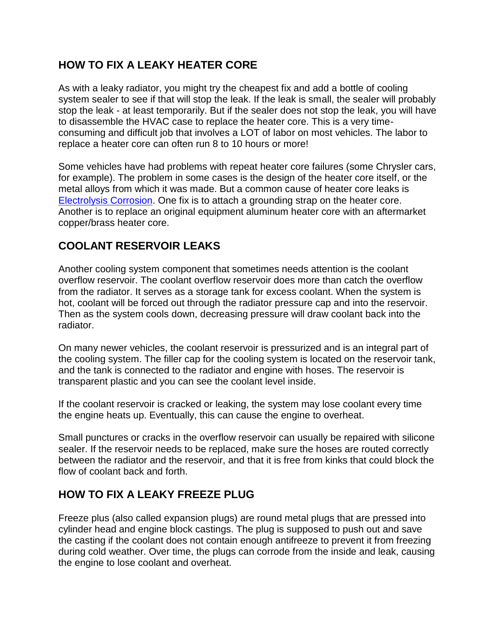#### **HOW TO FIX A LEAKY HEATER CORE**

As with a leaky radiator, you might try the cheapest fix and add a bottle of cooling system sealer to see if that will stop the leak. If the leak is small, the sealer will probably stop the leak - at least temporarily. But if the sealer does not stop the leak, you will have to disassemble the HVAC case to replace the heater core. This is a very timeconsuming and difficult job that involves a LOT of labor on most vehicles. The labor to replace a heater core can often run 8 to 10 hours or more!

Some vehicles have had problems with repeat heater core failures (some Chrysler cars, for example). The problem in some cases is the design of the heater core itself, or the metal alloys from which it was made. But a common cause of heater core leaks is [Electrolysis Corrosion.](http://www.aa1car.com/library/cooling_system_electrolysis_corrosion.htm) One fix is to attach a grounding strap on the heater core. Another is to replace an original equipment aluminum heater core with an aftermarket copper/brass heater core.

#### **COOLANT RESERVOIR LEAKS**

Another cooling system component that sometimes needs attention is the coolant overflow reservoir. The coolant overflow reservoir does more than catch the overflow from the radiator. It serves as a storage tank for excess coolant. When the system is hot, coolant will be forced out through the radiator pressure cap and into the reservoir. Then as the system cools down, decreasing pressure will draw coolant back into the radiator.

On many newer vehicles, the coolant reservoir is pressurized and is an integral part of the cooling system. The filler cap for the cooling system is located on the reservoir tank, and the tank is connected to the radiator and engine with hoses. The reservoir is transparent plastic and you can see the coolant level inside.

If the coolant reservoir is cracked or leaking, the system may lose coolant every time the engine heats up. Eventually, this can cause the engine to overheat.

Small punctures or cracks in the overflow reservoir can usually be repaired with silicone sealer. If the reservoir needs to be replaced, make sure the hoses are routed correctly between the radiator and the reservoir, and that it is free from kinks that could block the flow of coolant back and forth.

#### **HOW TO FIX A LEAKY FREEZE PLUG**

Freeze plus (also called expansion plugs) are round metal plugs that are pressed into cylinder head and engine block castings. The plug is supposed to push out and save the casting if the coolant does not contain enough antifreeze to prevent it from freezing during cold weather. Over time, the plugs can corrode from the inside and leak, causing the engine to lose coolant and overheat.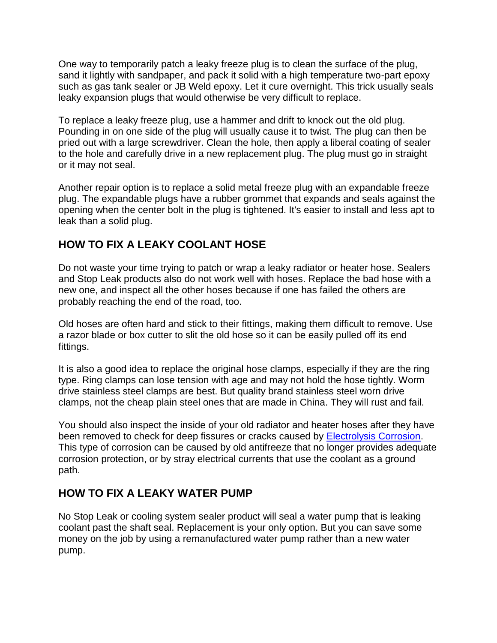One way to temporarily patch a leaky freeze plug is to clean the surface of the plug, sand it lightly with sandpaper, and pack it solid with a high temperature two-part epoxy such as gas tank sealer or JB Weld epoxy. Let it cure overnight. This trick usually seals leaky expansion plugs that would otherwise be very difficult to replace.

To replace a leaky freeze plug, use a hammer and drift to knock out the old plug. Pounding in on one side of the plug will usually cause it to twist. The plug can then be pried out with a large screwdriver. Clean the hole, then apply a liberal coating of sealer to the hole and carefully drive in a new replacement plug. The plug must go in straight or it may not seal.

Another repair option is to replace a solid metal freeze plug with an expandable freeze plug. The expandable plugs have a rubber grommet that expands and seals against the opening when the center bolt in the plug is tightened. It's easier to install and less apt to leak than a solid plug.

#### **HOW TO FIX A LEAKY COOLANT HOSE**

Do not waste your time trying to patch or wrap a leaky radiator or heater hose. Sealers and Stop Leak products also do not work well with hoses. Replace the bad hose with a new one, and inspect all the other hoses because if one has failed the others are probably reaching the end of the road, too.

Old hoses are often hard and stick to their fittings, making them difficult to remove. Use a razor blade or box cutter to slit the old hose so it can be easily pulled off its end fittings.

It is also a good idea to replace the original hose clamps, especially if they are the ring type. Ring clamps can lose tension with age and may not hold the hose tightly. Worm drive stainless steel clamps are best. But quality brand stainless steel worn drive clamps, not the cheap plain steel ones that are made in China. They will rust and fail.

You should also inspect the inside of your old radiator and heater hoses after they have been removed to check for deep fissures or cracks caused by **Electrolysis Corrosion**. This type of corrosion can be caused by old antifreeze that no longer provides adequate corrosion protection, or by stray electrical currents that use the coolant as a ground path.

#### **HOW TO FIX A LEAKY WATER PUMP**

No Stop Leak or cooling system sealer product will seal a water pump that is leaking coolant past the shaft seal. Replacement is your only option. But you can save some money on the job by using a remanufactured water pump rather than a new water pump.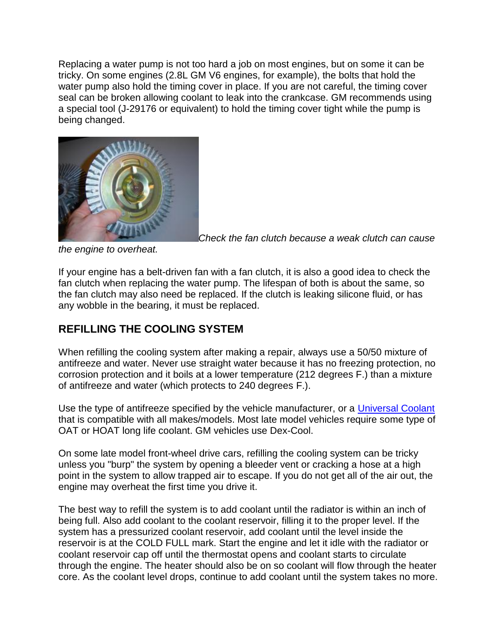Replacing a water pump is not too hard a job on most engines, but on some it can be tricky. On some engines (2.8L GM V6 engines, for example), the bolts that hold the water pump also hold the timing cover in place. If you are not careful, the timing cover seal can be broken allowing coolant to leak into the crankcase. GM recommends using a special tool (J-29176 or equivalent) to hold the timing cover tight while the pump is being changed.



*Check the fan clutch because a weak clutch can cause* 

*the engine to overheat.*

If your engine has a belt-driven fan with a fan clutch, it is also a good idea to check the fan clutch when replacing the water pump. The lifespan of both is about the same, so the fan clutch may also need be replaced. If the clutch is leaking silicone fluid, or has any wobble in the bearing, it must be replaced.

#### **REFILLING THE COOLING SYSTEM**

When refilling the cooling system after making a repair, always use a 50/50 mixture of antifreeze and water. Never use straight water because it has no freezing protection, no corrosion protection and it boils at a lower temperature (212 degrees F.) than a mixture of antifreeze and water (which protects to 240 degrees F.).

Use the type of antifreeze specified by the vehicle manufacturer, or a [Universal Coolant](http://www.aa1car.com/library/2004/us120426.htm) that is compatible with all makes/models. Most late model vehicles require some type of OAT or HOAT long life coolant. GM vehicles use Dex-Cool.

On some late model front-wheel drive cars, refilling the cooling system can be tricky unless you "burp" the system by opening a bleeder vent or cracking a hose at a high point in the system to allow trapped air to escape. If you do not get all of the air out, the engine may overheat the first time you drive it.

The best way to refill the system is to add coolant until the radiator is within an inch of being full. Also add coolant to the coolant reservoir, filling it to the proper level. If the system has a pressurized coolant reservoir, add coolant until the level inside the reservoir is at the COLD FULL mark. Start the engine and let it idle with the radiator or coolant reservoir cap off until the thermostat opens and coolant starts to circulate through the engine. The heater should also be on so coolant will flow through the heater core. As the coolant level drops, continue to add coolant until the system takes no more.